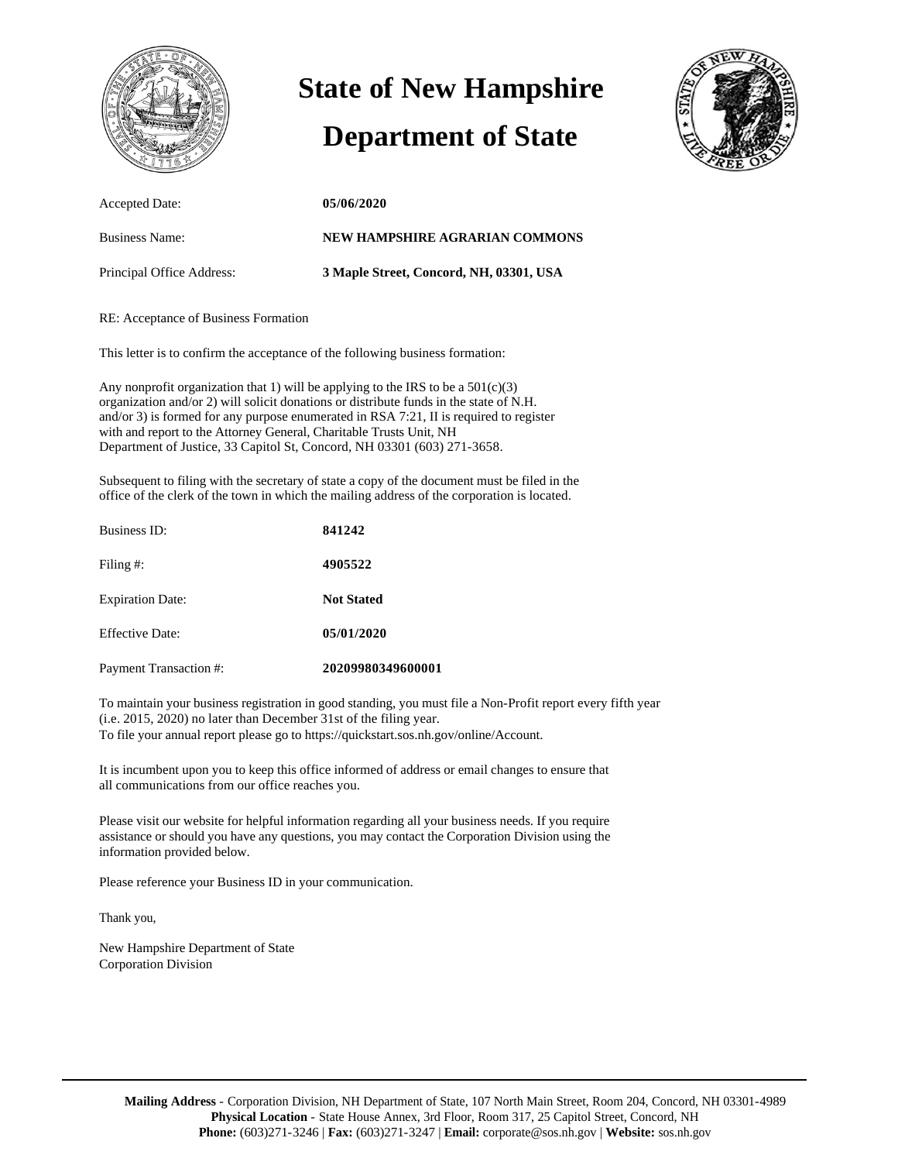

# **State of New Hampshire**

### **Department of State**



| Accepted Date:            | 05/06/2020                              |
|---------------------------|-----------------------------------------|
| <b>Business Name:</b>     | NEW HAMPSHIRE AGRARIAN COMMONS          |
| Principal Office Address: | 3 Maple Street, Concord, NH, 03301, USA |

#### RE: Acceptance of Business Formation

This letter is to confirm the acceptance of the following business formation:

Any nonprofit organization that 1) will be applying to the IRS to be a  $501(c)(3)$ organization and/or 2) will solicit donations or distribute funds in the state of N.H. and/or 3) is formed for any purpose enumerated in RSA 7:21, II is required to register with and report to the Attorney General, Charitable Trusts Unit, NH Department of Justice, 33 Capitol St, Concord, NH 03301 (603) 271-3658.

Subsequent to filing with the secretary of state a copy of the document must be filed in the office of the clerk of the town in which the mailing address of the corporation is located.

| Business ID:                  | 841242            |
|-------------------------------|-------------------|
| Filing #:                     | 4905522           |
| <b>Expiration Date:</b>       | <b>Not Stated</b> |
| <b>Effective Date:</b>        | 05/01/2020        |
| <b>Payment Transaction #:</b> | 20209980349600001 |

To maintain your business registration in good standing, you must file a Non-Profit report every fifth year (i.e. 2015, 2020) no later than December 31st of the filing year. To file your annual report please go to https://quickstart.sos.nh.gov/online/Account.

It is incumbent upon you to keep this office informed of address or email changes to ensure that all communications from our office reaches you.

Please visit our website for helpful information regarding all your business needs. If you require assistance or should you have any questions, you may contact the Corporation Division using the information provided below.

Please reference your Business ID in your communication.

Thank you,

New Hampshire Department of State Corporation Division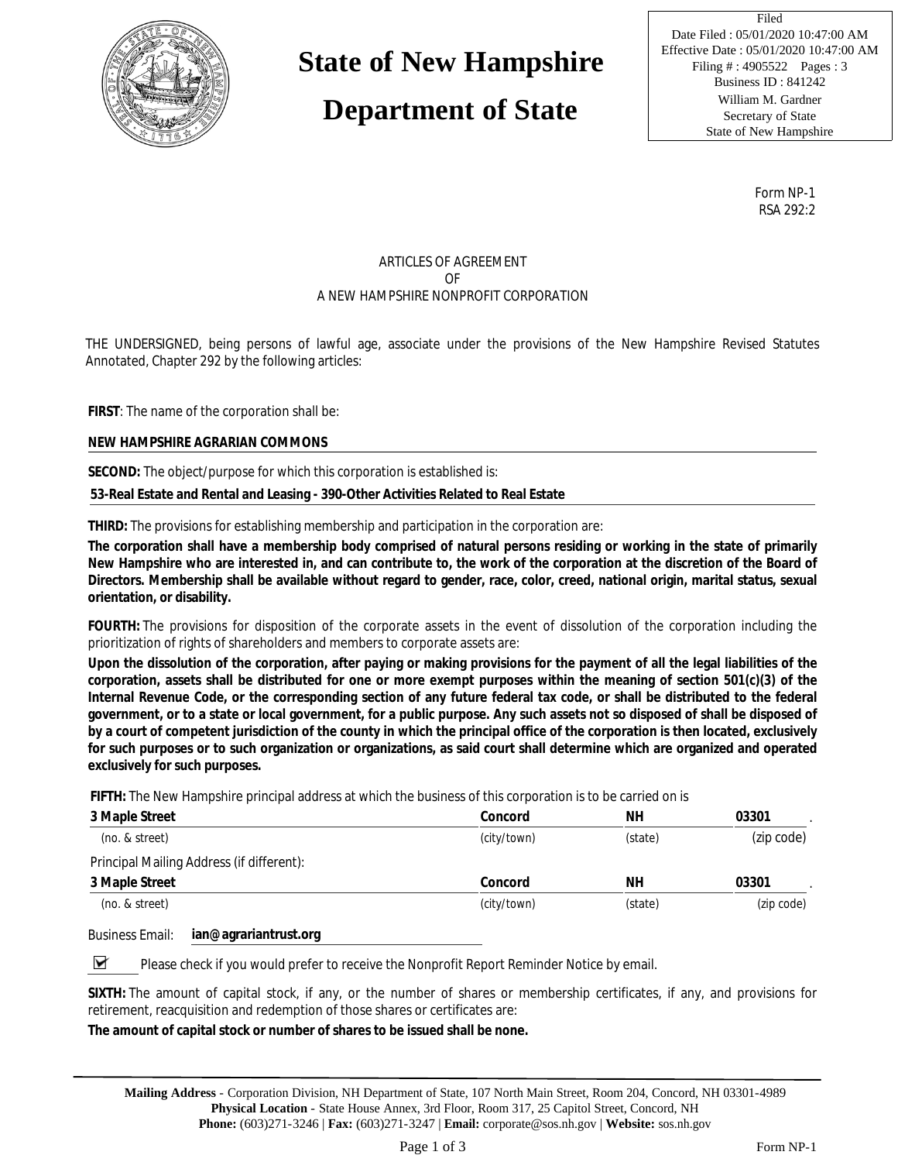

### **State of New Hampshire**

### **Department of State**

 Date Filed : 05/01/2020 10:47:00 AM Filing #: 4905522 Pages : 3 William M. Gardner William M. Gardner Secretary of State Secretary of State Filed Effective Date : 05/01/2020 10:47:00 AM Business ID : 841242 State of New Hampshire

> Form NP-1 RSA 292:2

#### ARTICLES OF AGREEMENT OF A NEW HAMPSHIRE NONPROFIT CORPORATION

THE UNDERSIGNED, being persons of lawful age, associate under the provisions of the New Hampshire Revised Statutes Annotated, Chapter 292 by the following articles:

**FIRST**: The name of the corporation shall be:

**NEW HAMPSHIRE AGRARIAN COMMONS**

**SECOND:** The object/purpose for which this corporation is established is:

**53-Real Estate and Rental and Leasing - 390-Other Activities Related to Real Estate**

**THIRD:** The provisions for establishing membership and participation in the corporation are:

**The corporation shall have a membership body comprised of natural persons residing or working in the state of primarily New Hampshire who are interested in, and can contribute to, the work of the corporation at the discretion of the Board of Directors. Membership shall be available without regard to gender, race, color, creed, national origin, marital status, sexual orientation, or disability.**

**FOURTH:** The provisions for disposition of the corporate assets in the event of dissolution of the corporation including the prioritization of rights of shareholders and members to corporate assets are:

**Upon the dissolution of the corporation, after paying or making provisions for the payment of all the legal liabilities of the corporation, assets shall be distributed for one or more exempt purposes within the meaning of section 501(c)(3) of the Internal Revenue Code, or the corresponding section of any future federal tax code, or shall be distributed to the federal government, or to a state or local government, for a public purpose. Any such assets not so disposed of shall be disposed of by a court of competent jurisdiction of the county in which the principal office of the corporation is then located, exclusively for such purposes or to such organization or organizations, as said court shall determine which are organized and operated exclusively for such purposes.**

**FIFTH:** The New Hampshire principal address at which the business of this corporation is to be carried on is

| 3 Maple Street                            | Concord     | NΗ      | 03301      |
|-------------------------------------------|-------------|---------|------------|
| (no. & street)                            | (city/town) | (state) | (zip code) |
| Principal Mailing Address (if different): |             |         |            |
| 3 Maple Street                            | Concord     | NΗ      | 03301      |
| (no. & street)                            | (city/town) | (state) | (zip code) |

Business Email: **ian@agrariantrust.org**

▼ Please check if you would prefer to receive the Nonprofit Report Reminder Notice by email.

**SIXTH:** The amount of capital stock, if any, or the number of shares or membership certificates, if any, and provisions for retirement, reacquisition and redemption of those shares or certificates are:

**The amount of capital stock or number of shares to be issued shall be none.**

**Mailing Address** - Corporation Division, NH Department of State, 107 North Main Street, Room 204, Concord, NH 03301-4989 **Physical Location** - State House Annex, 3rd Floor, Room 317, 25 Capitol Street, Concord, NH **Phone:** (603)271-3246 | **Fax:** (603)271-3247 | **Email:** corporate@sos.nh.gov | **Website:** sos.nh.gov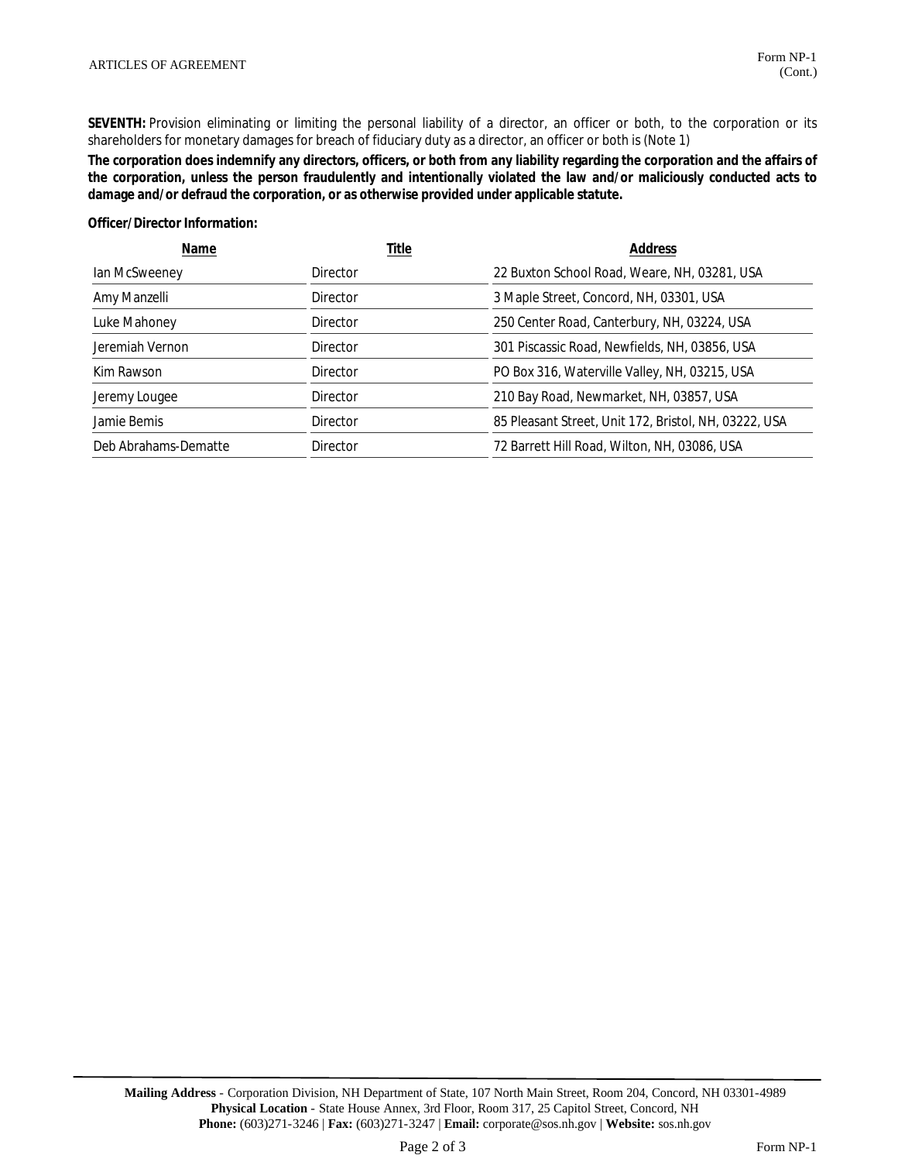SEVENTH: Provision eliminating or limiting the personal liability of a director, an officer or both, to the corporation or its shareholders for monetary damages for breach of fiduciary duty as a director, an officer or both is (Note 1)

The corporation does indemnify any directors, officers, or both from any liability regarding the corporation and the affairs of the corporation, unless the person fraudulently and intentionally violated the law and/or maliciously conducted acts to damage and/or defraud the corporation, or as otherwise provided under applicable statute.

Officer/Director Information:

| Name                 | Title           | Address                                               |  |
|----------------------|-----------------|-------------------------------------------------------|--|
| lan McSweeney        | Director        | 22 Buxton School Road, Weare, NH, 03281, USA          |  |
| Amy Manzelli         | Director        | 3 Maple Street, Concord, NH, 03301, USA               |  |
| Luke Mahoney         | Director        | 250 Center Road, Canterbury, NH, 03224, USA           |  |
| Jeremiah Vernon      | Director        | 301 Piscassic Road, Newfields, NH, 03856, USA         |  |
| Kim Rawson           | Director        | PO Box 316, Waterville Valley, NH, 03215, USA         |  |
| Jeremy Lougee        | <b>Director</b> | 210 Bay Road, Newmarket, NH, 03857, USA               |  |
| Jamie Bemis          | Director        | 85 Pleasant Street, Unit 172, Bristol, NH, 03222, USA |  |
| Deb Abrahams-Dematte | Director        | 72 Barrett Hill Road, Wilton, NH, 03086, USA          |  |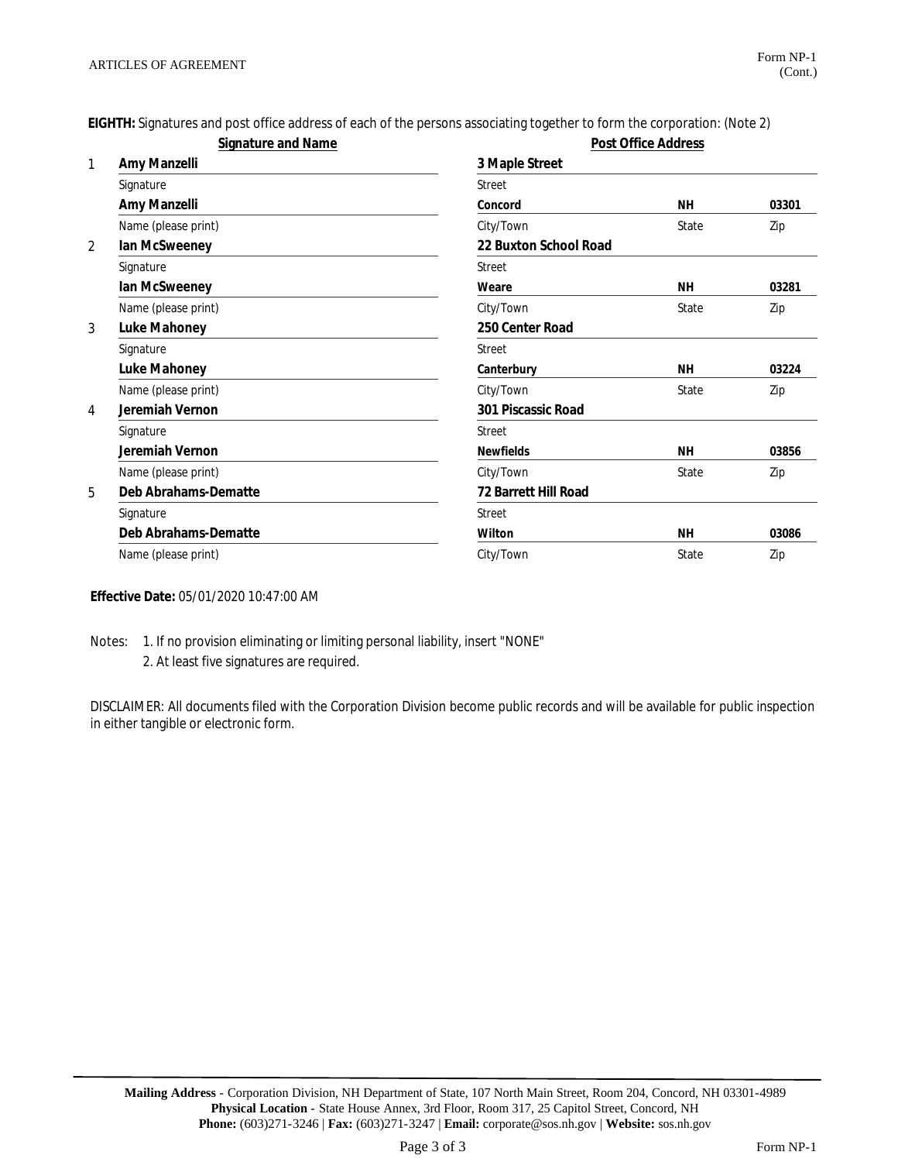EIGHTH: Signatures and post office address of each of the persons associating together to form the corporation: (Note 2)

| Signature and Name |                      | Post Office Address   |           |       |
|--------------------|----------------------|-----------------------|-----------|-------|
| 1                  | Amy Manzelli         | 3 Maple Street        |           |       |
|                    | Signature            | Street                |           |       |
|                    | Amy Manzelli         | Concord               | <b>NH</b> | 03301 |
|                    | Name (please print)  | City/Town             | State     | Zip   |
| 2                  | Ian McSweeney        | 22 Buxton School Road |           |       |
|                    | Signature            | Street                |           |       |
|                    | Ian McSweeney        | Weare                 | <b>NH</b> | 03281 |
|                    | Name (please print)  | City/Town             | State     | Zip   |
| 3                  | Luke Mahoney         | 250 Center Road       |           |       |
|                    | Signature            | Street                |           |       |
|                    | Luke Mahoney         | Canterbury            | <b>NH</b> | 03224 |
|                    | Name (please print)  | City/Town             | State     | Zip   |
| 4                  | Jeremiah Vernon      | 301 Piscassic Road    |           |       |
|                    | Signature            | <b>Street</b>         |           |       |
|                    | Jeremiah Vernon      | <b>Newfields</b>      | <b>NH</b> | 03856 |
|                    | Name (please print)  | City/Town             | State     | Zip   |
| 5                  | Deb Abrahams-Dematte | 72 Barrett Hill Road  |           |       |
|                    | Signature            | <b>Street</b>         |           |       |
|                    | Deb Abrahams-Dematte | Wilton                | <b>NH</b> | 03086 |
|                    | Name (please print)  | City/Town             | State     | Zip   |

Effective Date: 05/01/2020 10:47:00 AM

Notes: 1. If no provision eliminating or limiting personal liability, insert "NONE" 2. At least five signatures are required.

DISCLAIMER: All documents filed with the Corporation Division become public records and will be available for public inspection in either tangible or electronic form.